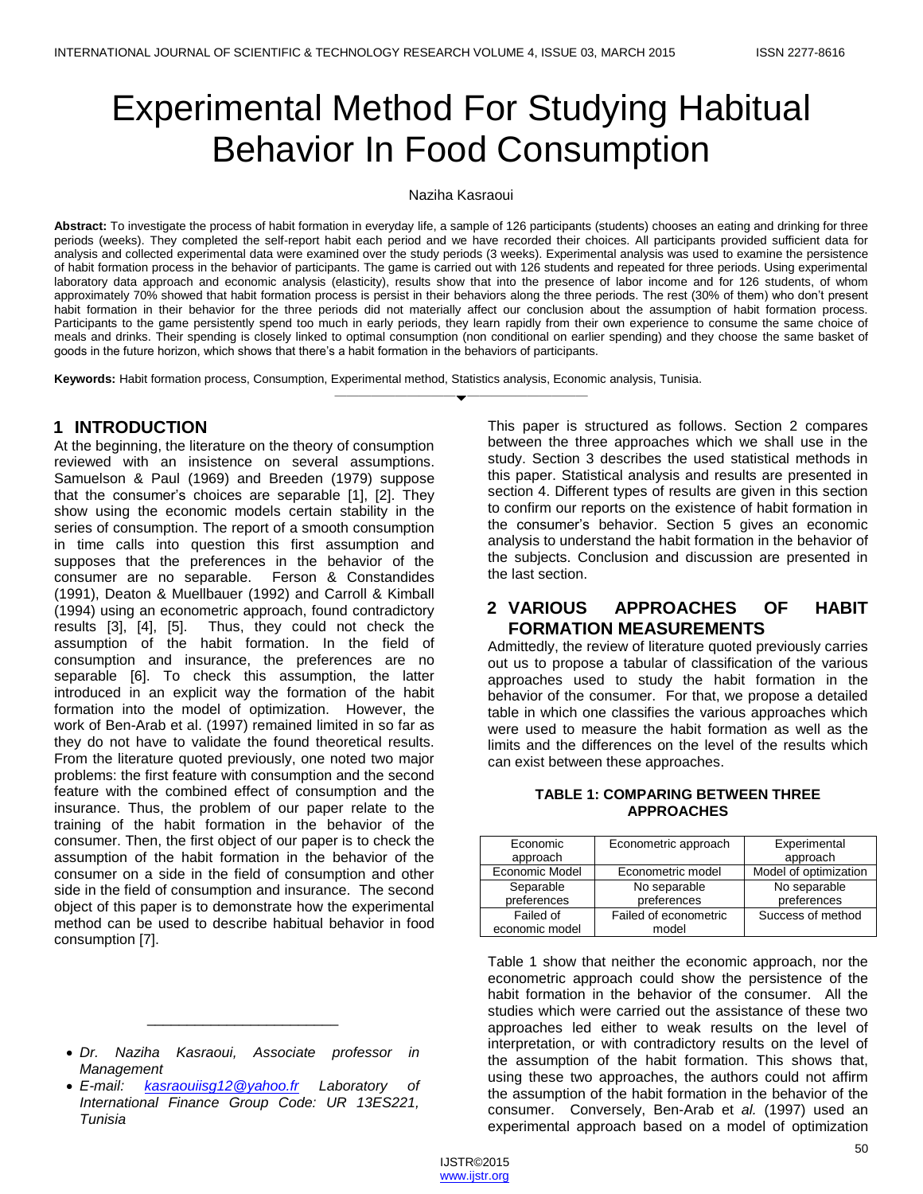# Experimental Method For Studying Habitual Behavior In Food Consumption

#### Naziha Kasraoui

Abstract: To investigate the process of habit formation in everyday life, a sample of 126 participants (students) chooses an eating and drinking for three periods (weeks). They completed the self-report habit each period and we have recorded their choices. All participants provided sufficient data for analysis and collected experimental data were examined over the study periods (3 weeks). Experimental analysis was used to examine the persistence of habit formation process in the behavior of participants. The game is carried out with 126 students and repeated for three periods. Using experimental laboratory data approach and economic analysis (elasticity), results show that into the presence of labor income and for 126 students, of whom approximately 70% showed that habit formation process is persist in their behaviors along the three periods. The rest (30% of them) who don't present habit formation in their behavior for the three periods did not materially affect our conclusion about the assumption of habit formation process. Participants to the game persistently spend too much in early periods, they learn rapidly from their own experience to consume the same choice of meals and drinks. Their spending is closely linked to optimal consumption (non conditional on earlier spending) and they choose the same basket of goods in the future horizon, which shows that there's a habit formation in the behaviors of participants.

————————————————————

**Keywords:** Habit formation process, Consumption, Experimental method, Statistics analysis, Economic analysis, Tunisia.

## **1 INTRODUCTION**

At the beginning, the literature on the theory of consumption reviewed with an insistence on several assumptions. Samuelson & Paul (1969) and Breeden (1979) suppose that the consumer's choices are separable [1], [2]. They show using the economic models certain stability in the series of consumption. The report of a smooth consumption in time calls into question this first assumption and supposes that the preferences in the behavior of the consumer are no separable. Ferson & Constandides (1991), Deaton & Muellbauer (1992) and Carroll & Kimball (1994) using an econometric approach, found contradictory results [3], [4], [5]. Thus, they could not check the assumption of the habit formation. In the field of consumption and insurance, the preferences are no separable [6]. To check this assumption, the latter introduced in an explicit way the formation of the habit formation into the model of optimization. However, the work of Ben-Arab et al. (1997) remained limited in so far as they do not have to validate the found theoretical results. From the literature quoted previously, one noted two major problems: the first feature with consumption and the second feature with the combined effect of consumption and the insurance. Thus, the problem of our paper relate to the training of the habit formation in the behavior of the consumer. Then, the first object of our paper is to check the assumption of the habit formation in the behavior of the consumer on a side in the field of consumption and other side in the field of consumption and insurance. The second object of this paper is to demonstrate how the experimental method can be used to describe habitual behavior in food consumption [7].

\_\_\_\_\_\_\_\_\_\_\_\_\_\_\_\_\_\_\_\_\_\_\_\_

This paper is structured as follows. Section 2 compares between the three approaches which we shall use in the study. Section 3 describes the used statistical methods in this paper. Statistical analysis and results are presented in section 4. Different types of results are given in this section to confirm our reports on the existence of habit formation in the consumer's behavior. Section 5 gives an economic analysis to understand the habit formation in the behavior of the subjects. Conclusion and discussion are presented in the last section.

# **2 VARIOUS APPROACHES OF HABIT FORMATION MEASUREMENTS**

Admittedly, the review of literature quoted previously carries out us to propose a tabular of classification of the various approaches used to study the habit formation in the behavior of the consumer. For that, we propose a detailed table in which one classifies the various approaches which were used to measure the habit formation as well as the limits and the differences on the level of the results which can exist between these approaches.

#### **TABLE 1: COMPARING BETWEEN THREE APPROACHES**

| Economic<br>approach | Econometric approach  | Experimental<br>approach |
|----------------------|-----------------------|--------------------------|
| Economic Model       | Econometric model     | Model of optimization    |
| Separable            | No separable          | No separable             |
| preferences          | preferences           | preferences              |
| Failed of            | Failed of econometric | Success of method        |
| economic model       | model                 |                          |

Table 1 show that neither the economic approach, nor the econometric approach could show the persistence of the habit formation in the behavior of the consumer. All the studies which were carried out the assistance of these two approaches led either to weak results on the level of interpretation, or with contradictory results on the level of the assumption of the habit formation. This shows that, using these two approaches, the authors could not affirm the assumption of the habit formation in the behavior of the consumer. Conversely, Ben-Arab et *al.* (1997) used an experimental approach based on a model of optimization

*Dr. Naziha Kasraoui, Associate professor in Management*

*E-mail: [kasraouiisg12@yahoo.fr](mailto:kasraouiisg12@yahoo.fr) Laboratory of International Finance Group Code: UR 13ES221, Tunisia*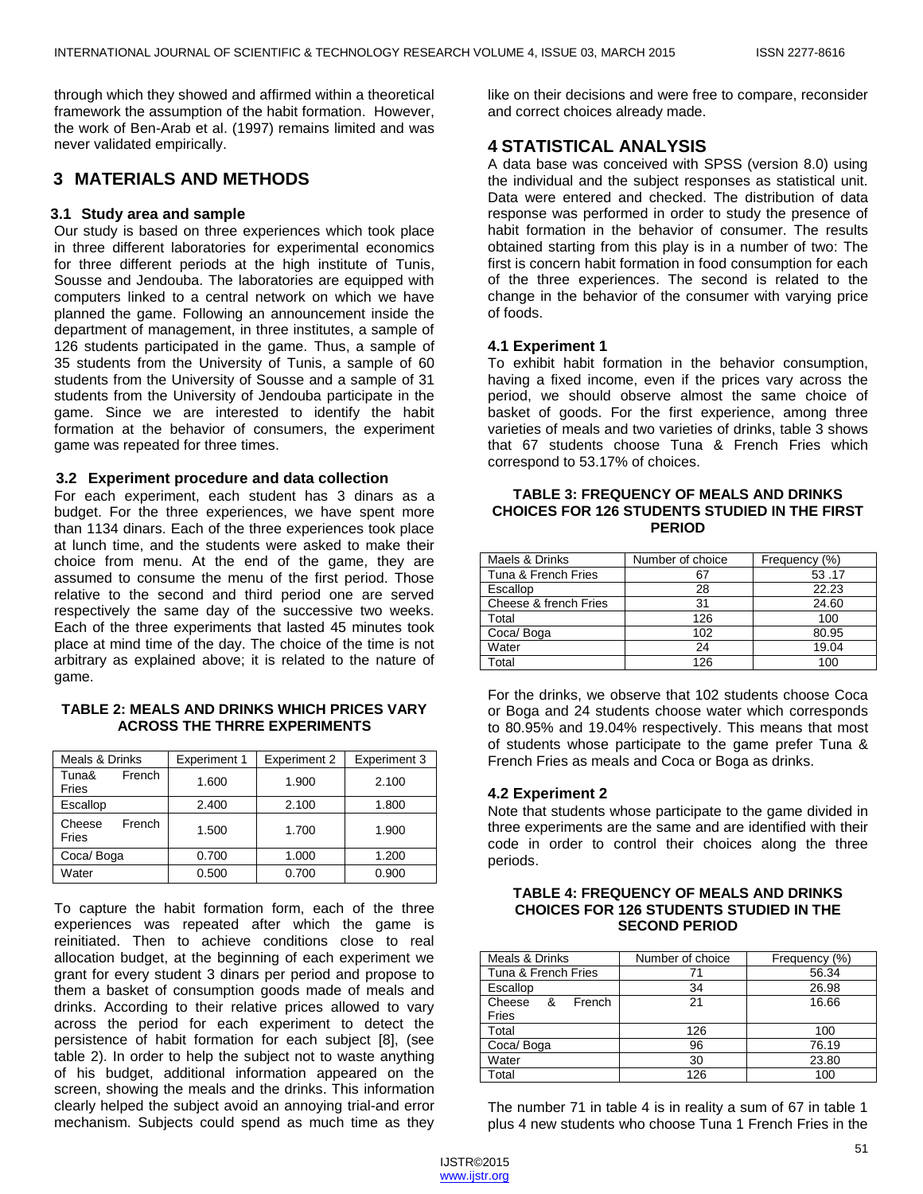through which they showed and affirmed within a theoretical framework the assumption of the habit formation. However, the work of Ben-Arab et al. (1997) remains limited and was never validated empirically.

## **3 MATERIALS AND METHODS**

#### **3.1 Study area and sample**

Our study is based on three experiences which took place in three different laboratories for experimental economics for three different periods at the high institute of Tunis, Sousse and Jendouba. The laboratories are equipped with computers linked to a central network on which we have planned the game. Following an announcement inside the department of management, in three institutes, a sample of 126 students participated in the game. Thus, a sample of 35 students from the University of Tunis, a sample of 60 students from the University of Sousse and a sample of 31 students from the University of Jendouba participate in the game. Since we are interested to identify the habit formation at the behavior of consumers, the experiment game was repeated for three times.

#### **3.2 Experiment procedure and data collection**

For each experiment, each student has 3 dinars as a budget. For the three experiences, we have spent more than 1134 dinars. Each of the three experiences took place at lunch time, and the students were asked to make their choice from menu. At the end of the game, they are assumed to consume the menu of the first period. Those relative to the second and third period one are served respectively the same day of the successive two weeks. Each of the three experiments that lasted 45 minutes took place at mind time of the day. The choice of the time is not arbitrary as explained above; it is related to the nature of game.

#### **TABLE 2: MEALS AND DRINKS WHICH PRICES VARY ACROSS THE THRRE EXPERIMENTS**

| Meals & Drinks  |        | <b>Experiment 1</b> | <b>Experiment 2</b> | <b>Experiment 3</b> |
|-----------------|--------|---------------------|---------------------|---------------------|
| Tuna&<br>Fries  | French | 1.600               | 1.900               | 2.100               |
| Escallop        |        | 2.400               | 2.100               | 1.800               |
| Cheese<br>Fries | French | 1.500               | 1.700               | 1.900               |
| Coca/Boga       |        | 0.700               | 1.000               | 1.200               |
| Water           |        | 0.500               | 0.700               | 0.900               |

To capture the habit formation form, each of the three experiences was repeated after which the game is reinitiated. Then to achieve conditions close to real allocation budget, at the beginning of each experiment we grant for every student 3 dinars per period and propose to them a basket of consumption goods made of meals and drinks. According to their relative prices allowed to vary across the period for each experiment to detect the persistence of habit formation for each subject [8], (see table 2). In order to help the subject not to waste anything of his budget, additional information appeared on the screen, showing the meals and the drinks. This information clearly helped the subject avoid an annoying trial-and error mechanism. Subjects could spend as much time as they

like on their decisions and were free to compare, reconsider and correct choices already made.

## **4 STATISTICAL ANALYSIS**

A data base was conceived with SPSS (version 8.0) using the individual and the subject responses as statistical unit. Data were entered and checked. The distribution of data response was performed in order to study the presence of habit formation in the behavior of consumer. The results obtained starting from this play is in a number of two: The first is concern habit formation in food consumption for each of the three experiences. The second is related to the change in the behavior of the consumer with varying price of foods.

#### **4.1 Experiment 1**

To exhibit habit formation in the behavior consumption, having a fixed income, even if the prices vary across the period, we should observe almost the same choice of basket of goods. For the first experience, among three varieties of meals and two varieties of drinks, table 3 shows that 67 students choose Tuna & French Fries which correspond to 53.17% of choices.

#### **TABLE 3: FREQUENCY OF MEALS AND DRINKS CHOICES FOR 126 STUDENTS STUDIED IN THE FIRST PERIOD**

| Maels & Drinks        | Number of choice | Frequency (%) |
|-----------------------|------------------|---------------|
| Tuna & French Fries   | 67               | 53.17         |
| Escallop              | 28               | 22.23         |
| Cheese & french Fries | 31               | 24.60         |
| Total                 | 126              | 100           |
| Coca/Boga             | 102              | 80.95         |
| Water                 | 24               | 19.04         |
| Total                 | 126              | 100           |

For the drinks, we observe that 102 students choose Coca or Boga and 24 students choose water which corresponds to 80.95% and 19.04% respectively. This means that most of students whose participate to the game prefer Tuna & French Fries as meals and Coca or Boga as drinks.

#### **4.2 Experiment 2**

Note that students whose participate to the game divided in three experiments are the same and are identified with their code in order to control their choices along the three periods.

#### **TABLE 4: FREQUENCY OF MEALS AND DRINKS CHOICES FOR 126 STUDENTS STUDIED IN THE SECOND PERIOD**

| Meals & Drinks        | Number of choice | Frequency (%) |
|-----------------------|------------------|---------------|
| Tuna & French Fries   | 71               | 56.34         |
| Escallop              | 34               | 26.98         |
| French<br>Cheese<br>& | 21               | 16.66         |
| Fries                 |                  |               |
| Total                 | 126              | 100           |
| Coca/Boga             | 96               | 76.19         |
| Water                 | 30               | 23.80         |
| Total                 | 126              | 100           |

The number 71 in table 4 is in reality a sum of 67 in table 1 plus 4 new students who choose Tuna 1 French Fries in the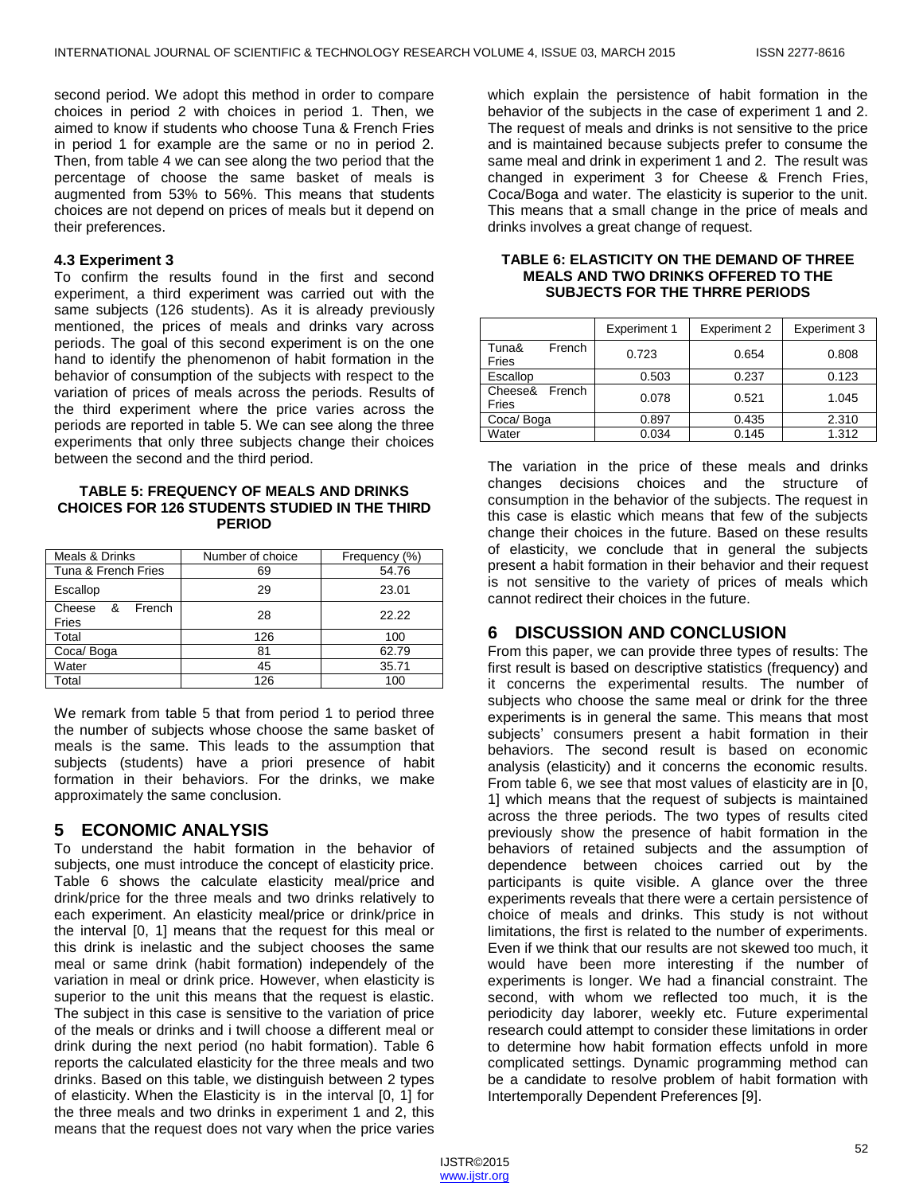second period. We adopt this method in order to compare choices in period 2 with choices in period 1. Then, we aimed to know if students who choose Tuna & French Fries in period 1 for example are the same or no in period 2. Then, from table 4 we can see along the two period that the percentage of choose the same basket of meals is augmented from 53% to 56%. This means that students choices are not depend on prices of meals but it depend on their preferences.

#### **4.3 Experiment 3**

To confirm the results found in the first and second experiment, a third experiment was carried out with the same subjects (126 students). As it is already previously mentioned, the prices of meals and drinks vary across periods. The goal of this second experiment is on the one hand to identify the phenomenon of habit formation in the behavior of consumption of the subjects with respect to the variation of prices of meals across the periods. Results of the third experiment where the price varies across the periods are reported in table 5. We can see along the three experiments that only three subjects change their choices between the second and the third period.

#### **TABLE 5: FREQUENCY OF MEALS AND DRINKS CHOICES FOR 126 STUDENTS STUDIED IN THE THIRD PERIOD**

| Meals & Drinks                   | Number of choice | Frequency (%) |  |
|----------------------------------|------------------|---------------|--|
| Tuna & French Fries              | 69               | 54.76         |  |
| Escallop                         | 29               | 23.01         |  |
| French<br>Cheese<br>- &<br>Fries | 28               | 22.22         |  |
| Total                            | 126              | 100           |  |
| Coca/Boga                        | 81               | 62.79         |  |
| Water                            | 45               | 35.71         |  |
| Total                            | 126              | 100           |  |

We remark from table 5 that from period 1 to period three the number of subjects whose choose the same basket of meals is the same. This leads to the assumption that subjects (students) have a priori presence of habit formation in their behaviors. For the drinks, we make approximately the same conclusion.

# **5 ECONOMIC ANALYSIS**

To understand the habit formation in the behavior of subjects, one must introduce the concept of elasticity price. Table 6 shows the calculate elasticity meal/price and drink/price for the three meals and two drinks relatively to each experiment. An elasticity meal/price or drink/price in the interval [0, 1] means that the request for this meal or this drink is inelastic and the subject chooses the same meal or same drink (habit formation) independely of the variation in meal or drink price. However, when elasticity is superior to the unit this means that the request is elastic. The subject in this case is sensitive to the variation of price of the meals or drinks and i twill choose a different meal or drink during the next period (no habit formation). Table 6 reports the calculated elasticity for the three meals and two drinks. Based on this table, we distinguish between 2 types of elasticity. When the Elasticity is in the interval [0, 1] for the three meals and two drinks in experiment 1 and 2, this means that the request does not vary when the price varies which explain the persistence of habit formation in the behavior of the subjects in the case of experiment 1 and 2. The request of meals and drinks is not sensitive to the price and is maintained because subjects prefer to consume the same meal and drink in experiment 1 and 2. The result was changed in experiment 3 for Cheese & French Fries, Coca/Boga and water. The elasticity is superior to the unit. This means that a small change in the price of meals and drinks involves a great change of request.

#### **TABLE 6: ELASTICITY ON THE DEMAND OF THREE MEALS AND TWO DRINKS OFFERED TO THE SUBJECTS FOR THE THRRE PERIODS**

|                  |        | <b>Experiment 1</b> | <b>Experiment 2</b> | Experiment 3 |
|------------------|--------|---------------------|---------------------|--------------|
| Tuna&<br>Fries   | French | 0.723               | 0.654               | 0.808        |
| Escallop         |        | 0.503               | 0.237               | 0.123        |
| Cheese&<br>Fries | French | 0.078               | 0.521               | 1.045        |
| Coca/Boga        |        | 0.897               | 0.435               | 2.310        |
| Water            |        | 0.034               | 0.145               | 1.312        |

The variation in the price of these meals and drinks changes decisions choices and the structure of consumption in the behavior of the subjects. The request in this case is elastic which means that few of the subjects change their choices in the future. Based on these results of elasticity, we conclude that in general the subjects present a habit formation in their behavior and their request is not sensitive to the variety of prices of meals which cannot redirect their choices in the future.

# **6 DISCUSSION AND CONCLUSION**

From this paper, we can provide three types of results: The first result is based on descriptive statistics (frequency) and it concerns the experimental results. The number of subjects who choose the same meal or drink for the three experiments is in general the same. This means that most subjects' consumers present a habit formation in their behaviors. The second result is based on economic analysis (elasticity) and it concerns the economic results. From table 6, we see that most values of elasticity are in [0, 1] which means that the request of subjects is maintained across the three periods. The two types of results cited previously show the presence of habit formation in the behaviors of retained subjects and the assumption of dependence between choices carried out by the participants is quite visible. A glance over the three experiments reveals that there were a certain persistence of choice of meals and drinks. This study is not without limitations, the first is related to the number of experiments. Even if we think that our results are not skewed too much, it would have been more interesting if the number of experiments is longer. We had a financial constraint. The second, with whom we reflected too much, it is the periodicity day laborer, weekly etc. Future experimental research could attempt to consider these limitations in order to determine how habit formation effects unfold in more complicated settings. Dynamic programming method can be a candidate to resolve problem of habit formation with Intertemporally Dependent Preferences [9].